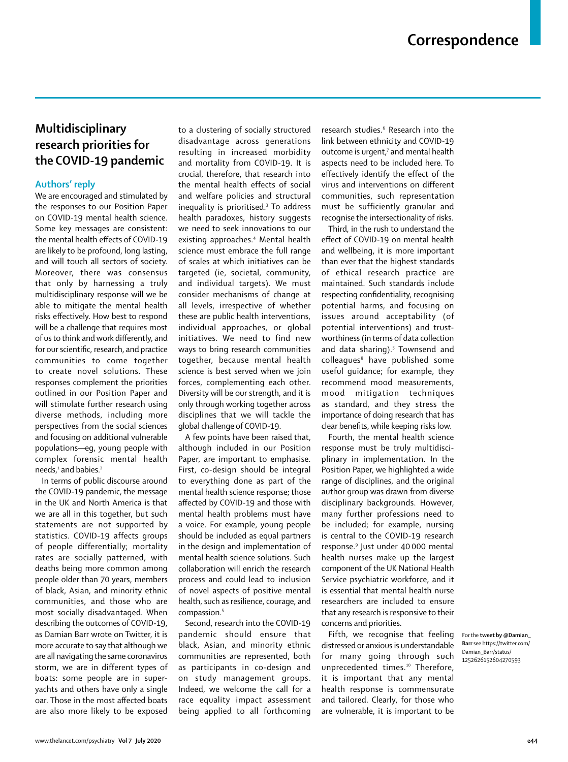## **Multidisciplinary research priorities for the COVID-19 pandemic**

## **Authors' reply**

We are encouraged and stimulated by the responses to our Position Paper on COVID-19 mental health science. Some key messages are consistent: the mental health effects of COVID-19 are likely to be profound, long lasting, and will touch all sectors of society. Moreover, there was consensus that only by harnessing a truly multidisciplinary response will we be able to mitigate the mental health risks effectively. How best to respond will be a challenge that requires most of us to think and work differently, and for our scientific, research, and practice communities to come together to create novel solutions. These responses complement the priorities outlined in our Position Paper and will stimulate further research using diverse methods, including more perspectives from the social sciences and focusing on additional vulnerable populations—eg, young people with complex forensic mental health needs,<sup>1</sup> and babies.<sup>2</sup>

In terms of public discourse around the COVID-19 pandemic, the message in the UK and North America is that we are all in this together, but such statements are not supported by statistics. COVID-19 affects groups of people differentially; mortality rates are socially patterned, with deaths being more common among people older than 70 years, members of black, Asian, and minority ethnic communities, and those who are most socially disadvantaged. When describing the outcomes of COVID-19, as Damian Barr wrote on [Twitter,](https://twitter.com/Damian_Barr/status/1252626152604270593) it is more accurate to say that although we are all navigating the same coronavirus storm, we are in different types of boats: some people are in superyachts and others have only a single oar. Those in the most affected boats are also more likely to be exposed to a clustering of socially structured disadvantage across generations resulting in increased morbidity and mortality from COVID-19. It is crucial, therefore, that research into the mental health effects of social and welfare policies and structural inequality is prioritised.<sup>3</sup> To address health paradoxes, history suggests we need to seek innovations to our existing approaches.<sup>4</sup> Mental health science must embrace the full range of scales at which initiatives can be targeted (ie, societal, community, and individual targets). We must consider mechanisms of change at all levels, irrespective of whether these are public health interventions, individual approaches, or global initiatives. We need to find new ways to bring research communities together, because mental health science is best served when we join forces, complementing each other. Diversity will be our strength, and it is only through working together across disciplines that we will tackle the global challenge of COVID-19.

A few points have been raised that, although included in our Position Paper, are important to emphasise. First, co-design should be integral to everything done as part of the mental health science response; those affected by COVID-19 and those with mental health problems must have a voice. For example, young people should be included as equal partners in the design and implementation of mental health science solutions. Such collaboration will enrich the research process and could lead to inclusion of novel aspects of positive mental health, such as resilience, courage, and compassion.5

Second, research into the COVID-19 pandemic should ensure that black, Asian, and minority ethnic communities are represented, both as participants in co-design and on study management groups. Indeed, we welcome the call for a race equality impact assessment being applied to all forthcoming

research studies.<sup>6</sup> Research into the link between ethnicity and COVID-19 outcome is urgent, $7$  and mental health aspects need to be included here. To effectively identify the effect of the virus and interventions on different communities, such representation must be sufficiently granular and recognise the intersectionality of risks.

Third, in the rush to understand the effect of COVID-19 on mental health and wellbeing, it is more important than ever that the highest standards of ethical research practice are maintained. Such standards include respecting confidentiality, recognising potential harms, and focusing on issues around acceptability (of potential interventions) and trustworthiness (in terms of data collection and data sharing).<sup>5</sup> Townsend and colleagues<sup>8</sup> have published some useful guidance; for example, they recommend mood measurements, mood mitigation techniques as standard, and they stress the importance of doing research that has clear benefits, while keeping risks low.

Fourth, the mental health science response must be truly multidisciplinary in implementation. In the Position Paper, we highlighted a wide range of disciplines, and the original author group was drawn from diverse disciplinary backgrounds. However, many further professions need to be included; for example, nursing is central to the COVID-19 research response.9 Just under 40 000 mental health nurses make up the largest component of the UK National Health Service psychiatric workforce, and it is essential that mental health nurse researchers are included to ensure that any research is responsive to their concerns and priorities.

Fifth, we recognise that feeling distressed or anxious is understandable for many going through such unprecedented times.<sup>10</sup> Therefore, it is important that any mental health response is commensurate and tailored. Clearly, for those who are vulnerable, it is important to be

For the **tweet by @Damian\_ Barr** see https://twitter.com/ Damian\_Barr/status/ 1252626152604270593